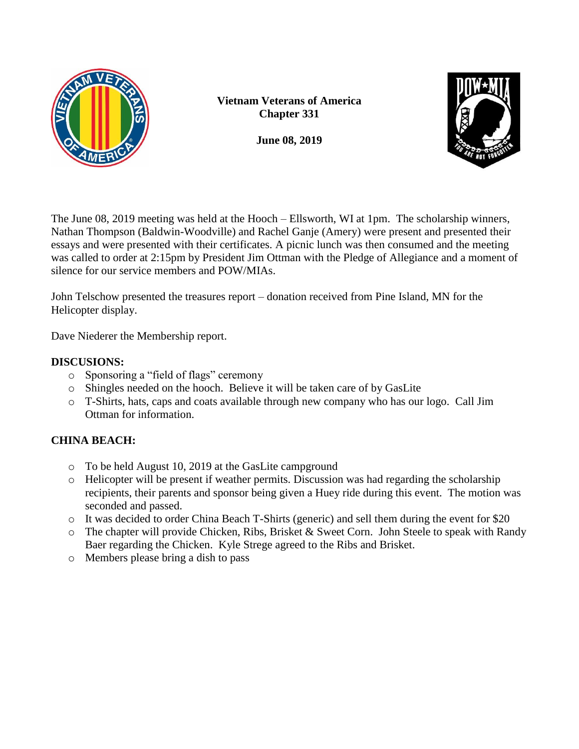

**Vietnam Veterans of America Chapter 331**

**June 08, 2019**



The June 08, 2019 meeting was held at the Hooch – Ellsworth, WI at 1pm. The scholarship winners, Nathan Thompson (Baldwin-Woodville) and Rachel Ganje (Amery) were present and presented their essays and were presented with their certificates. A picnic lunch was then consumed and the meeting was called to order at 2:15pm by President Jim Ottman with the Pledge of Allegiance and a moment of silence for our service members and POW/MIAs.

John Telschow presented the treasures report – donation received from Pine Island, MN for the Helicopter display.

Dave Niederer the Membership report.

# **DISCUSIONS:**

- o Sponsoring a "field of flags" ceremony
- o Shingles needed on the hooch. Believe it will be taken care of by GasLite
- o T-Shirts, hats, caps and coats available through new company who has our logo. Call Jim Ottman for information.

# **CHINA BEACH:**

- o To be held August 10, 2019 at the GasLite campground
- o Helicopter will be present if weather permits. Discussion was had regarding the scholarship recipients, their parents and sponsor being given a Huey ride during this event. The motion was seconded and passed.
- o It was decided to order China Beach T-Shirts (generic) and sell them during the event for \$20
- o The chapter will provide Chicken, Ribs, Brisket & Sweet Corn. John Steele to speak with Randy Baer regarding the Chicken. Kyle Strege agreed to the Ribs and Brisket.
- o Members please bring a dish to pass